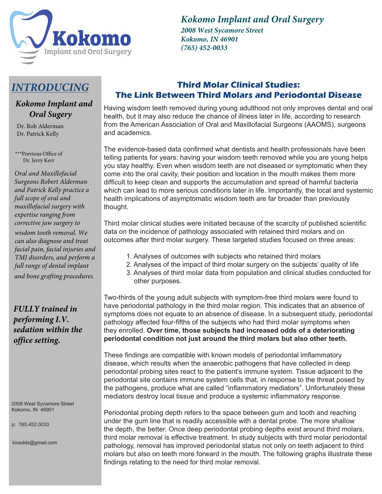

*Kokomo Implant and Oral Surgery*

*2008 West Sycamore Street Kokomo, IN 46901 (765) 452-0033*

# *INTRODUCING*

## *Kokomo Implant and Oral Sugery*

 Dr. Rob Alderman Dr. Patrick Kelly

\*\*\*Previous Office of Dr. Jerry Kerr

*Oral and Maxillofacial Surgeons Robert Alderman and Patrick Kelly practice a full scope of oral and maxillofacial surgery with expertise ranging from corrective jaw surgery to wisdom tooth removal. We can also diagnose and treat facial pain, facial injuries and TMJ disorders, and perform a full range of dental implant and bone grafting procedures.*

*FULLY trained in performing I.V. sedation within the office setting.*

2008 West Sycamore Street Kokomo, IN 46901

p: 765.452.0033

kiosdds@gmail.com

# **Third Molar Clinical Studies: The Link Between Third Molars and Periodontal Disease**

Having wisdom teeth removed during young adulthood not only improves dental and oral health, but it may also reduce the chance of illness later in life, according to research from the American Association of Oral and Maxillofacial Surgeons (AAOMS), surgeons and academics.

The evidence-based data confirmed what dentists and health professionals have been telling patients for years: having your wisdom teeth removed while you are young helps you stay healthy. Even when wisdom teeth are not diseased or symptomatic when they come into the oral cavity, their position and location in the mouth makes them more difficult to keep clean and supports the accumulation and spread of harmful bacteria which can lead to more serious conditions later in life. Importantly, the local and systemic health implications of asymptomatic wisdom teeth are far broader than previously thought.

Third molar clinical studies were initiated because of the scarcity of published scientific data on the incidence of pathology associated with retained third molars and on outcomes after third molar surgery. These targeted studies focused on three areas:

- 1. Analyses of outcomes with subjects who retained third molars
- 2. Analyses of the impact of third molar surgery on the subjects' quality of life
- 3. Analyses of third molar data from population and clinical studies conducted for other purposes.

Two-thirds of the young adult subjects with symptom-free third molars were found to have periodontal pathology in the third molar region. This indicates that an absence of symptoms does not equate to an absence of disease. In a subsequent study, periodontal pathology affected four-fifths of the subjects who had third molar symptoms when they enrolled. **Over time, those subjects had increased odds of a deteriorating periodontal condition not just around the third molars but also other teeth.**

These findings are compatible with known models of periodontal imflammatory disease, which results when the anaerobic pathogens that have collected in deep periodontal probing sites react to the patient's immune system. Tissue adjacent to the periodontal site contains immune system cells that, in response to the threat posed by the pathogens, produce what are called "inflammatory mediators". Unfortunately these mediators destroy local tissue and produce a systemic inflammatory response.

Periodontal probing depth refers to the space between gum and tooth and reaching under the gum line that is readily accessible with a dental probe. The more shallow the depth, the better. Once deep periodontal probing depths exist around third molars, third molar removal is effective treatment. In study subjects with third molar periodontal pathology, removal has improved periodontal status not only on teeth adjacent to third molars but also on teeth more forward in the mouth. The following graphs illustrate these findings relating to the need for third molar removal.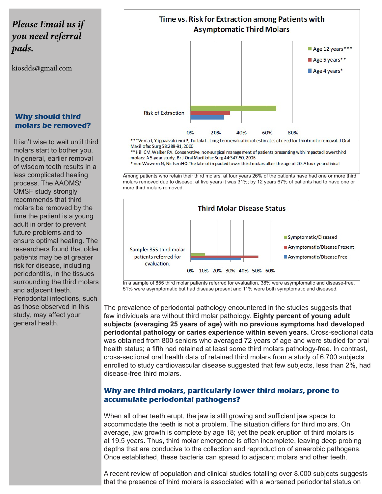# *Please Email us if you need referral pads.*

kiosdds@gmail.com

### **Why should third molars be removed?**

It isn't wise to wait until third molars start to bother you. In general, earlier removal of wisdom teeth results in a less complicated healing process. The AAOMS/ OMSF study strongly recommends that third molars be removed by the time the patient is a young adult in order to prevent future problems and to ensure optimal healing. The researchers found that older patients may be at greater risk for disease, including periodontitis, in the tissues surrounding the third molars and adjacent teeth. Periodontal infections, such as those observed in this study, may affect your general health.



\*\*\*Venta I, Ylippaavalniemi P, Turtola L. Long-term evaluation of estimates of need for third molar removal. J Oral Maxillofac Surg 58:288-91, 2000

\*\* Hill CM, Walker RV. Conservative, non-surgical management of patients presenting with impacted lower third molars: A 5-year study. Br J Oral Maxillofac Surg 44:347-50, 2006

\* von Wowern N, Nielsen HO. The fate of impacted lower third molars after the age of 20. A four-year clinical

Among patients who retain their third molars, at four years 26% of the patients have had one or more third molars removed due to disease; at five years it was 31%; by 12 years 67% of patients had to have one or more third molars removed.



In a sample of 855 third molar patients referred for evaluation, 38% were asymptomatic and disease-free, 51% were asymptomatic but had disease present and 11% were both symptomatic and diseased.

The prevalence of periodontal pathology encountered in the studies suggests that few individuals are without third molar pathology. **Eighty percent of young adult subjects (averaging 25 years of age) with no previous symptoms had developed periodontal pathology or caries experience within seven years.** Cross-sectional data was obtained from 800 seniors who averaged 72 years of age and were studied for oral health status; a fifth had retained at least some third molars pathology-free. In contrast, cross-sectional oral health data of retained third molars from a study of 6,700 subjects enrolled to study cardiovascular disease suggested that few subjects, less than 2%, had disease-free third molars.

#### **Why are third molars, particularly lower third molars, prone to accumulate periodontal pathogens?**

When all other teeth erupt, the jaw is still growing and sufficient jaw space to accommodate the teeth is not a problem. The situation differs for third molars. On average, jaw growth is complete by age 18; yet the peak eruption of third molars is at 19.5 years. Thus, third molar emergence is often incomplete, leaving deep probing depths that are conducive to the collection and reproduction of anaerobic pathogens. Once established, these bacteria can spread to adjacent molars and other teeth.

A recent review of population and clinical studies totalling over 8.000 subjects suggests that the presence of third molars is associated with a worsened periodontal status on